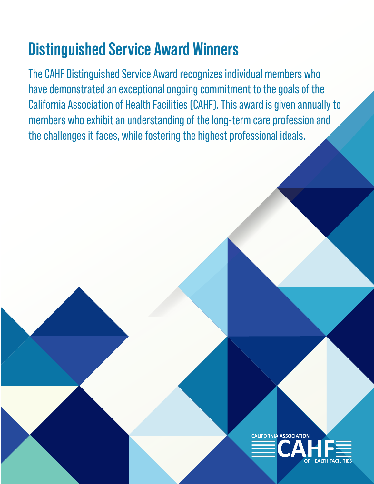## **Distinguished Service Award Winners**

The CAHF Distinguished Service Award recognizes individual members who have demonstrated an exceptional ongoing commitment to the goals of the California Association of Health Facilities (CAHF). This award is given annually to members who exhibit an understanding of the long-term care profession and the challenges it faces, while fostering the highest professional ideals.

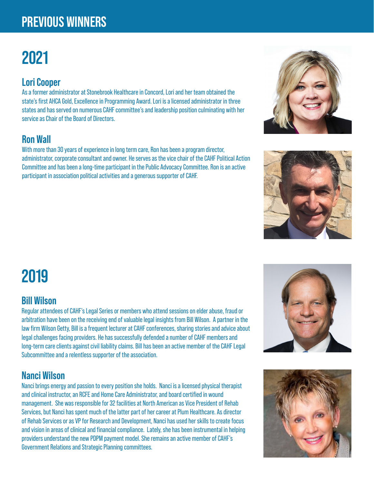## **PREVIOUS WINNERS**

# **2021**

#### **Lori Cooper**

As a former administrator at Stonebrook Healthcare in Concord, Lori and her team obtained the state's first AHCA Gold, Excellence in Programming Award. Lori is a licensed administrator in three states and has served on numerous CAHF committee's and leadership position culminating with her service as Chair of the Board of Directors.

### **Ron Wall**

With more than 30 years of experience in long term care, Ron has been a program director, administrator, corporate consultant and owner. He serves as the vice chair of the CAHF Political Action Committee and has been a long-time participant in the Public Advocacy Committee. Ron is an active participant in association political activities and a generous supporter of CAHF.

## **2019**

#### **Bill Wilson**

Regular attendees of CAHF's Legal Series or members who attend sessions on elder abuse, fraud or arbitration have been on the receiving end of valuable legal insights from Bill Wilson. A partner in the law firm Wilson Getty, Bill is a frequent lecturer at CAHF conferences, sharing stories and advice about legal challenges facing providers. He has successfully defended a number of CAHF members and long-term care clients against civil liability claims. Bill has been an active member of the CAHF Legal Subcommittee and a relentless supporter of the association.

#### **Nanci Wilson**

Nanci brings energy and passion to every position she holds. Nanci is a licensed physical therapist and clinical instructor, an RCFE and Home Care Administrator, and board certified in wound management. She was responsible for 32 facilities at North American as Vice President of Rehab Services, but Nanci has spent much of the latter part of her career at Plum Healthcare. As director of Rehab Services or as VP for Research and Development, Nanci has used her skills to create focus and vision in areas of clinical and financial compliance. Lately, she has been instrumental in helping providers understand the new PDPM payment model. She remains an active member of CAHF's Government Relations and Strategic Planning committees.







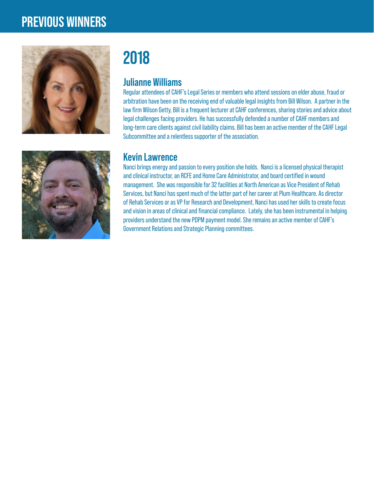### **PREVIOUS WINNERS**





## **2018**

#### **Julianne Williams**

Regular attendees of CAHF's Legal Series or members who attend sessions on elder abuse, fraud or arbitration have been on the receiving end of valuable legal insights from Bill Wilson. A partner in the law firm Wilson Getty, Bill is a frequent lecturer at CAHF conferences, sharing stories and advice about legal challenges facing providers. He has successfully defended a number of CAHF members and long-term care clients against civil liability claims. Bill has been an active member of the CAHF Legal Subcommittee and a relentless supporter of the association.

#### **Kevin Lawrence**

Nanci brings energy and passion to every position she holds. Nanci is a licensed physical therapist and clinical instructor, an RCFE and Home Care Administrator, and board certified in wound management. She was responsible for 32 facilities at North American as Vice President of Rehab Services, but Nanci has spent much of the latter part of her career at Plum Healthcare. As director of Rehab Services or as VP for Research and Development, Nanci has used her skills to create focus and vision in areas of clinical and financial compliance. Lately, she has been instrumental in helping providers understand the new PDPM payment model. She remains an active member of CAHF's Government Relations and Strategic Planning committees.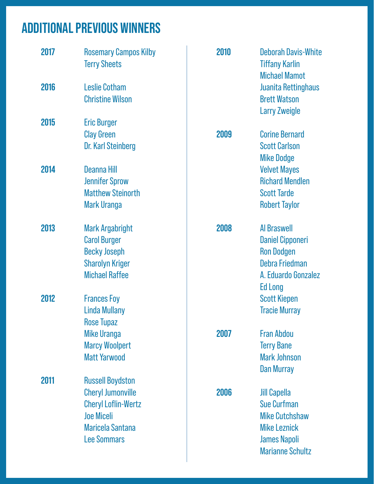## **ADDITIONAL PREVIOUS WINNERS**

| 2017 | <b>Rosemary Campos Kilby</b><br><b>Terry Sheets</b> | 2010 | <b>Deborah Davis-White</b><br><b>Tiffany Karlin</b><br><b>Michael Mamot</b> |
|------|-----------------------------------------------------|------|-----------------------------------------------------------------------------|
| 2016 | <b>Leslie Cotham</b><br><b>Christine Wilson</b>     |      | <b>Juanita Rettinghaus</b><br><b>Brett Watson</b><br><b>Larry Zweigle</b>   |
| 2015 | <b>Eric Burger</b>                                  |      |                                                                             |
|      | <b>Clay Green</b>                                   | 2009 | <b>Corine Bernard</b>                                                       |
|      | <b>Dr. Karl Steinberg</b>                           |      | <b>Scott Carlson</b>                                                        |
| 2014 | Deanna Hill                                         |      | <b>Mike Dodge</b><br><b>Velvet Mayes</b>                                    |
|      | <b>Jennifer Sprow</b>                               |      | <b>Richard Mendlen</b>                                                      |
|      | <b>Matthew Steinorth</b>                            |      | <b>Scott Tarde</b>                                                          |
|      | <b>Mark Uranga</b>                                  |      | <b>Robert Taylor</b>                                                        |
|      |                                                     |      |                                                                             |
| 2013 | <b>Mark Argabright</b>                              | 2008 | <b>Al Braswell</b>                                                          |
|      | <b>Carol Burger</b>                                 |      | <b>Daniel Cipponeri</b>                                                     |
|      | <b>Becky Joseph</b>                                 |      | <b>Ron Dodgen</b>                                                           |
|      | <b>Sharolyn Kriger</b>                              |      | Debra Friedman                                                              |
|      | <b>Michael Raffee</b>                               |      | A. Eduardo Gonzalez                                                         |
|      |                                                     |      | <b>Ed Long</b>                                                              |
| 2012 | <b>Frances Foy</b>                                  |      | <b>Scott Kiepen</b>                                                         |
|      | <b>Linda Mullany</b>                                |      | <b>Tracie Murray</b>                                                        |
|      | <b>Rose Tupaz</b><br><b>Mike Uranga</b>             | 2007 | <b>Fran Abdou</b>                                                           |
|      | <b>Marcy Woolpert</b>                               |      | <b>Terry Bane</b>                                                           |
|      | <b>Matt Yarwood</b>                                 |      | <b>Mark Johnson</b>                                                         |
|      |                                                     |      | Dan Murray                                                                  |
| 2011 | <b>Russell Boydston</b>                             |      |                                                                             |
|      | <b>Cheryl Jumonville</b>                            | 2006 | <b>Jill Capella</b>                                                         |
|      | <b>Cheryl Loflin-Wertz</b>                          |      | <b>Sue Curfman</b>                                                          |
|      | <b>Joe Miceli</b>                                   |      | <b>Mike Cutchshaw</b>                                                       |
|      | <b>Maricela Santana</b>                             |      | <b>Mike Leznick</b>                                                         |
|      | <b>Lee Sommars</b>                                  |      | <b>James Napoli</b>                                                         |
|      |                                                     |      | <b>Marianne Schultz</b>                                                     |
|      |                                                     |      |                                                                             |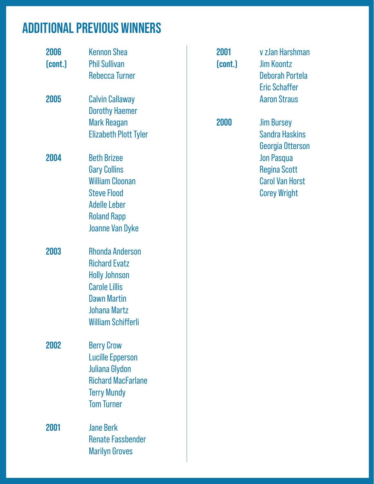## **ADDITIONAL PREVIOUS WINNERS**

| 2006<br>(cont.) | <b>Kennon Shea</b><br><b>Phil Sullivan</b>                                                                                                                               | 2001<br>(cont.) | v zJan Harshman<br><b>Jim Koontz</b>                                                      |
|-----------------|--------------------------------------------------------------------------------------------------------------------------------------------------------------------------|-----------------|-------------------------------------------------------------------------------------------|
|                 | <b>Rebecca Turner</b>                                                                                                                                                    |                 | Deborah Portela<br><b>Eric Schaffer</b>                                                   |
| 2005            | <b>Calvin Callaway</b><br><b>Dorothy Haemer</b>                                                                                                                          |                 | <b>Aaron Straus</b>                                                                       |
|                 | <b>Mark Reagan</b><br><b>Elizabeth Plott Tyler</b>                                                                                                                       | 2000            | <b>Jim Bursey</b><br><b>Sandra Haskins</b><br>Georgia Otterson                            |
| 2004            | <b>Beth Brizee</b><br><b>Gary Collins</b><br><b>William Cloonan</b><br><b>Steve Flood</b><br><b>Adelle Leber</b><br><b>Roland Rapp</b><br><b>Joanne Van Dyke</b>         |                 | <b>Jon Pasqua</b><br><b>Regina Scott</b><br><b>Carol Van Horst</b><br><b>Corey Wright</b> |
| 2003            | <b>Rhonda Anderson</b><br><b>Richard Evatz</b><br><b>Holly Johnson</b><br><b>Carole Lillis</b><br><b>Dawn Martin</b><br><b>Johana Martz</b><br><b>William Schifferli</b> |                 |                                                                                           |
| 2002            | <b>Berry Crow</b><br><b>Lucille Epperson</b><br><b>Juliana Glydon</b><br><b>Richard MacFarlane</b><br><b>Terry Mundy</b><br><b>Tom Turner</b>                            |                 |                                                                                           |
| 2001            | <b>Jane Berk</b><br><b>Renate Fassbender</b><br><b>Marilyn Groves</b>                                                                                                    |                 |                                                                                           |